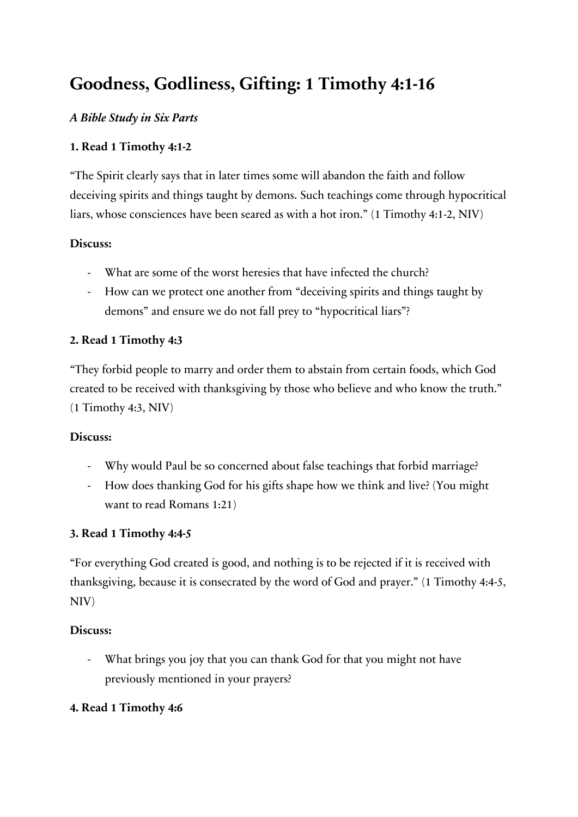# **Goodness, Godliness, Gifting: 1 Timothy 4:1-16**

## *A Bible Study in Six Parts*

## **1. Read 1 Timothy 4:1-2**

"The Spirit clearly says that in later times some will abandon the faith and follow deceiving spirits and things taught by demons. Such teachings come through hypocritical liars, whose consciences have been seared as with a hot iron." (1 Timothy 4:1-2, NIV)

## **Discuss:**

- What are some of the worst heresies that have infected the church?
- How can we protect one another from "deceiving spirits and things taught by demons" and ensure we do not fall prey to "hypocritical liars"?

## **2. Read 1 Timothy 4:3**

"They forbid people to marry and order them to abstain from certain foods, which God created to be received with thanksgiving by those who believe and who know the truth." (1 Timothy 4:3, NIV)

#### **Discuss:**

- Why would Paul be so concerned about false teachings that forbid marriage?
- How does thanking God for his gifts shape how we think and live? (You might want to read Romans 1:21)

## **3. Read 1 Timothy 4:4-5**

"For everything God created is good, and nothing is to be rejected if it is received with thanksgiving, because it is consecrated by the word of God and prayer." (1 Timothy 4:4-5, NIV)

#### **Discuss:**

- What brings you joy that you can thank God for that you might not have previously mentioned in your prayers?

## **4. Read 1 Timothy 4:6**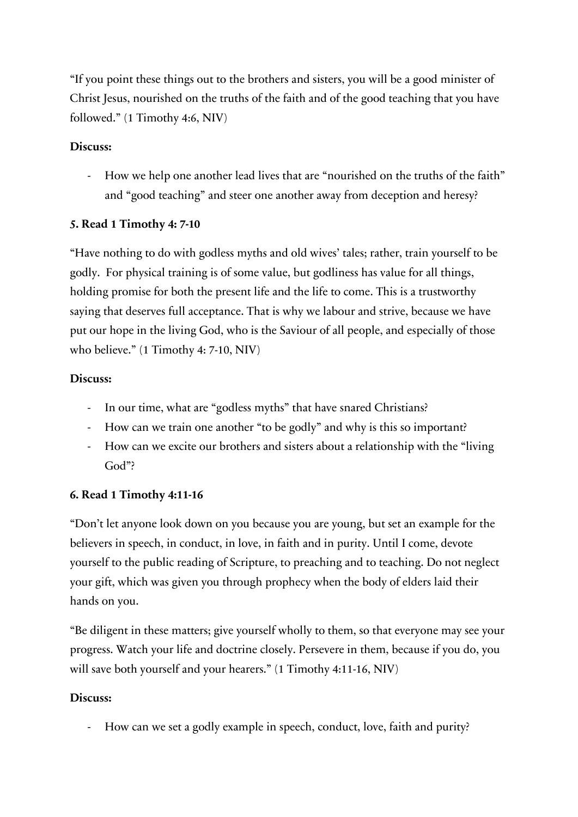"If you point these things out to the brothers and sisters, you will be a good minister of Christ Jesus, nourished on the truths of the faith and of the good teaching that you have followed." (1 Timothy 4:6, NIV)

### **Discuss:**

- How we help one another lead lives that are "nourished on the truths of the faith" and "good teaching" and steer one another away from deception and heresy?

#### **5. Read 1 Timothy 4: 7-10**

"Have nothing to do with godless myths and old wives' tales; rather, train yourself to be godly. For physical training is of some value, but godliness has value for all things, holding promise for both the present life and the life to come. This is a trustworthy saying that deserves full acceptance. That is why we labour and strive, because we have put our hope in the living God, who is the Saviour of all people, and especially of those who believe." (1 Timothy 4: 7-10, NIV)

#### **Discuss:**

- In our time, what are "godless myths" that have snared Christians?
- How can we train one another "to be godly" and why is this so important?
- How can we excite our brothers and sisters about a relationship with the "living God"?

## **6. Read 1 Timothy 4:11-16**

"Don't let anyone look down on you because you are young, but set an example for the believers in speech, in conduct, in love, in faith and in purity. Until I come, devote yourself to the public reading of Scripture, to preaching and to teaching. Do not neglect your gift, which was given you through prophecy when the body of elders laid their hands on you.

"Be diligent in these matters; give yourself wholly to them, so that everyone may see your progress. Watch your life and doctrine closely. Persevere in them, because if you do, you will save both yourself and your hearers." (1 Timothy 4:11-16, NIV)

#### **Discuss:**

- How can we set a godly example in speech, conduct, love, faith and purity?